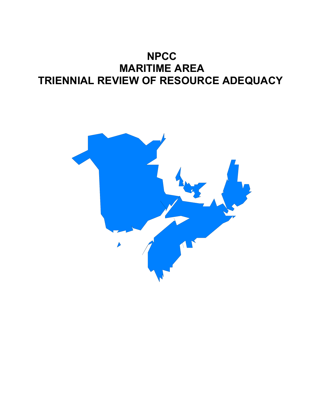# **NPCC MARITIME AREA TRIENNIAL REVIEW OF RESOURCE ADEQUACY**

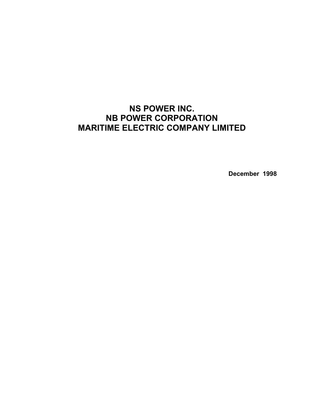## **NS POWER INC. NB POWER CORPORATION MARITIME ELECTRIC COMPANY LIMITED**

**December 1998**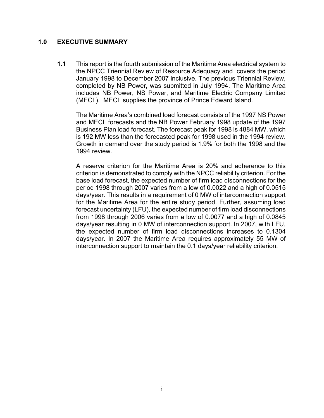#### **1.0 EXECUTIVE SUMMARY**

**1.1** This report is the fourth submission of the Maritime Area electrical system to the NPCC Triennial Review of Resource Adequacy and covers the period January 1998 to December 2007 inclusive. The previous Triennial Review, completed by NB Power, was submitted in July 1994. The Maritime Area includes NB Power, NS Power, and Maritime Electric Company Limited (MECL). MECL supplies the province of Prince Edward Island.

The Maritime Area's combined load forecast consists of the 1997 NS Power and MECL forecasts and the NB Power February 1998 update of the 1997 Business Plan load forecast. The forecast peak for 1998 is 4884 MW, which is 192 MW less than the forecasted peak for 1998 used in the 1994 review. Growth in demand over the study period is 1.9% for both the 1998 and the 1994 review.

A reserve criterion for the Maritime Area is 20% and adherence to this criterion is demonstrated to comply with the NPCC reliability criterion. For the base load forecast, the expected number of firm load disconnections for the period 1998 through 2007 varies from a low of 0.0022 and a high of 0.0515 days/year. This results in a requirement of 0 MW of interconnection support for the Maritime Area for the entire study period. Further, assuming load forecast uncertainty (LFU), the expected number of firm load disconnections from 1998 through 2006 varies from a low of 0.0077 and a high of 0.0845 days/year resulting in 0 MW of interconnection support. In 2007, with LFU, the expected number of firm load disconnections increases to 0.1304 days/year. In 2007 the Maritime Area requires approximately 55 MW of interconnection support to maintain the 0.1 days/year reliability criterion.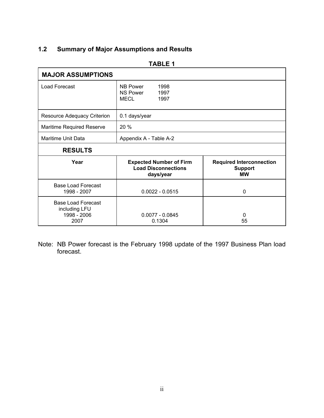## **1.2 Summary of Major Assumptions and Results**

| <b>MAJOR ASSUMPTIONS</b>                                          |                                                                           |                                                                |  |  |  |  |  |  |
|-------------------------------------------------------------------|---------------------------------------------------------------------------|----------------------------------------------------------------|--|--|--|--|--|--|
| <b>Load Forecast</b>                                              | <b>NB Power</b><br>1998<br><b>NS Power</b><br>1997<br>MECL<br>1997        |                                                                |  |  |  |  |  |  |
| Resource Adequacy Criterion                                       | 0.1 days/year                                                             |                                                                |  |  |  |  |  |  |
| <b>Maritime Required Reserve</b>                                  | 20 %                                                                      |                                                                |  |  |  |  |  |  |
| Maritime Unit Data                                                | Appendix A - Table A-2                                                    |                                                                |  |  |  |  |  |  |
| <b>RESULTS</b>                                                    |                                                                           |                                                                |  |  |  |  |  |  |
| Year                                                              | <b>Expected Number of Firm</b><br><b>Load Disconnections</b><br>days/year | <b>Required Interconnection</b><br><b>Support</b><br><b>MW</b> |  |  |  |  |  |  |
| <b>Base Load Forecast</b><br>1998 - 2007                          | $0.0022 - 0.0515$                                                         | 0                                                              |  |  |  |  |  |  |
| <b>Base Load Forecast</b><br>including LFU<br>1998 - 2006<br>2007 | $0.0077 - 0.0845$<br>0.1304                                               | 0<br>55                                                        |  |  |  |  |  |  |

#### **TABLE 1**

Note: NB Power forecast is the February 1998 update of the 1997 Business Plan load forecast.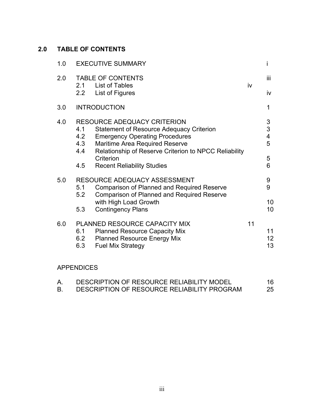## **2.0 TABLE OF CONTENTS**

| 1.0 |                          | <b>EXECUTIVE SUMMARY</b>                                                                                                                                                                                                  |    | İ                                                              |
|-----|--------------------------|---------------------------------------------------------------------------------------------------------------------------------------------------------------------------------------------------------------------------|----|----------------------------------------------------------------|
| 2.0 |                          | <b>TABLE OF CONTENTS</b><br>2.1 List of Tables                                                                                                                                                                            | iv | iii                                                            |
|     | 2.2                      | List of Figures                                                                                                                                                                                                           |    | iv                                                             |
| 3.0 |                          | <b>INTRODUCTION</b>                                                                                                                                                                                                       |    | 1                                                              |
| 4.0 | 4.1<br>4.2<br>4.3<br>4.4 | <b>RESOURCE ADEQUACY CRITERION</b><br><b>Statement of Resource Adequacy Criterion</b><br><b>Emergency Operating Procedures</b><br>Maritime Area Required Reserve<br>Relationship of Reserve Criterion to NPCC Reliability |    | $\ensuremath{\mathsf{3}}$<br>3<br>$\overline{\mathbf{4}}$<br>5 |
|     | 4.5                      | Criterion<br><b>Recent Reliability Studies</b>                                                                                                                                                                            |    | 5<br>6                                                         |
| 5.0 | 5.1<br>5.2               | RESOURCE ADEQUACY ASSESSMENT<br><b>Comparison of Planned and Required Reserve</b><br><b>Comparison of Planned and Required Reserve</b>                                                                                    |    | 9<br>9                                                         |
|     | 5.3                      | with High Load Growth<br><b>Contingency Plans</b>                                                                                                                                                                         |    | 10<br>10 <sup>°</sup>                                          |
| 6.0 | 6.1<br>6.2<br>6.3        | PLANNED RESOURCE CAPACITY MIX<br><b>Planned Resource Capacity Mix</b><br><b>Planned Resource Energy Mix</b><br><b>Fuel Mix Strategy</b>                                                                                   | 11 | 11<br>12 <sub>2</sub><br>13                                    |
|     |                          |                                                                                                                                                                                                                           |    |                                                                |

#### APPENDICES

| DESCRIPTION OF RESOURCE RELIABILITY MODEL   | 16 |
|---------------------------------------------|----|
| DESCRIPTION OF RESOURCE RELIABILITY PROGRAM | 25 |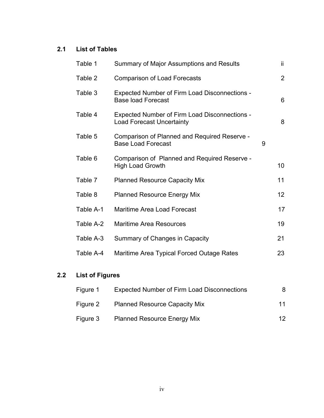## **2.1 List of Tables**

| Table 1   | Summary of Major Assumptions and Results                                          |   | ii.             |
|-----------|-----------------------------------------------------------------------------------|---|-----------------|
| Table 2   | <b>Comparison of Load Forecasts</b>                                               |   | $\overline{2}$  |
| Table 3   | <b>Expected Number of Firm Load Disconnections -</b><br><b>Base load Forecast</b> |   | 6               |
| Table 4   | Expected Number of Firm Load Disconnections -<br><b>Load Forecast Uncertainty</b> |   | 8               |
| Table 5   | Comparison of Planned and Required Reserve -<br><b>Base Load Forecast</b>         | 9 |                 |
| Table 6   | Comparison of Planned and Required Reserve -<br><b>High Load Growth</b>           |   | 10              |
| Table 7   | <b>Planned Resource Capacity Mix</b>                                              |   | 11              |
| Table 8   | <b>Planned Resource Energy Mix</b>                                                |   | 12 <sup>2</sup> |
| Table A-1 | Maritime Area Load Forecast                                                       |   | 17              |
| Table A-2 | <b>Maritime Area Resources</b>                                                    |   | 19              |
| Table A-3 | Summary of Changes in Capacity                                                    |   | 21              |
| Table A-4 | Maritime Area Typical Forced Outage Rates                                         |   | 23              |

## **2.2 List of Figures**

| Figure 1 | <b>Expected Number of Firm Load Disconnections</b> | 8.  |
|----------|----------------------------------------------------|-----|
| Figure 2 | <b>Planned Resource Capacity Mix</b>               | 11  |
| Figure 3 | <b>Planned Resource Energy Mix</b>                 | 12. |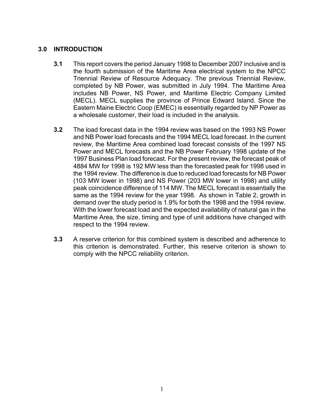#### **3.0 INTRODUCTION**

- **3.1** This report covers the period January 1998 to December 2007 inclusive and is the fourth submission of the Maritime Area electrical system to the NPCC Triennial Review of Resource Adequacy. The previous Triennial Review, completed by NB Power, was submitted in July 1994. The Maritime Area includes NB Power, NS Power, and Maritime Electric Company Limited (MECL). MECL supplies the province of Prince Edward Island. Since the Eastern Maine Electric Coop (EMEC) is essentially regarded by NP Power as a wholesale customer, their load is included in the analysis.
- **3.2** The load forecast data in the 1994 review was based on the 1993 NS Power and NB Power load forecasts and the 1994 MECL load forecast. In the current review, the Maritime Area combined load forecast consists of the 1997 NS Power and MECL forecasts and the NB Power February 1998 update of the 1997 Business Plan load forecast. For the present review, the forecast peak of 4884 MW for 1998 is 192 MW less than the forecasted peak for 1998 used in the 1994 review. The difference is due to reduced load forecasts for NB Power (103 MW lower in 1998) and NS Power (203 MW lower in 1998) and utility peak coincidence difference of 114 MW. The MECL forecast is essentially the same as the 1994 review for the year 1998. As shown in Table 2, growth in demand over the study period is 1.9% for both the 1998 and the 1994 review. With the lower forecast load and the expected availability of natural gas in the Maritime Area, the size, timing and type of unit additions have changed with respect to the 1994 review.
- **3.3** A reserve criterion for this combined system is described and adherence to this criterion is demonstrated. Further, this reserve criterion is shown to comply with the NPCC reliability criterion.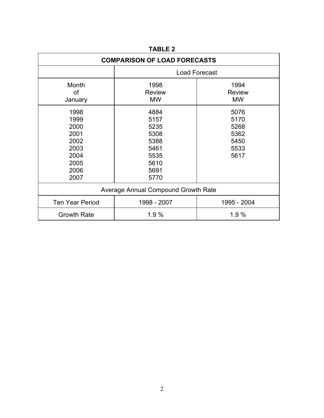| <b>COMPARISON OF LOAD FORECASTS</b>                                          |                                                                              |                                                      |  |  |  |  |  |
|------------------------------------------------------------------------------|------------------------------------------------------------------------------|------------------------------------------------------|--|--|--|--|--|
|                                                                              | <b>Load Forecast</b>                                                         |                                                      |  |  |  |  |  |
| Month<br>of<br>January                                                       | 1998<br><b>Review</b><br><b>MW</b>                                           | 1994<br><b>Review</b><br><b>MW</b>                   |  |  |  |  |  |
| 1998<br>1999<br>2000<br>2001<br>2002<br>2003<br>2004<br>2005<br>2006<br>2007 | 4884<br>5157<br>5235<br>5308<br>5388<br>5461<br>5535<br>5610<br>5691<br>5770 | 5076<br>5170<br>5268<br>5362<br>5450<br>5533<br>5617 |  |  |  |  |  |
| Average Annual Compound Growth Rate                                          |                                                                              |                                                      |  |  |  |  |  |
| <b>Ten Year Period</b>                                                       | 1998 - 2007                                                                  | 1995 - 2004                                          |  |  |  |  |  |
| <b>Growth Rate</b>                                                           | 1.9%                                                                         | 1.9 %                                                |  |  |  |  |  |

## **TABLE 2**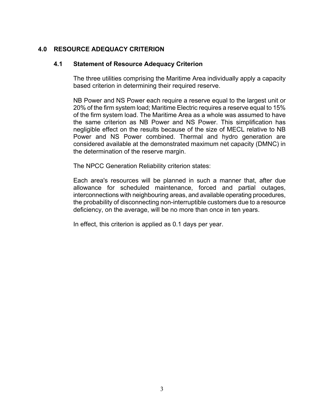#### **4.0 RESOURCE ADEQUACY CRITERION**

#### **4.1 Statement of Resource Adequacy Criterion**

The three utilities comprising the Maritime Area individually apply a capacity based criterion in determining their required reserve.

NB Power and NS Power each require a reserve equal to the largest unit or 20% of the firm system load; Maritime Electric requires a reserve equal to 15% of the firm system load. The Maritime Area as a whole was assumed to have the same criterion as NB Power and NS Power. This simplification has negligible effect on the results because of the size of MECL relative to NB Power and NS Power combined. Thermal and hydro generation are considered available at the demonstrated maximum net capacity (DMNC) in the determination of the reserve margin.

The NPCC Generation Reliability criterion states:

Each area's resources will be planned in such a manner that, after due allowance for scheduled maintenance, forced and partial outages, interconnections with neighbouring areas, and available operating procedures, the probability of disconnecting non-interruptible customers due to a resource deficiency, on the average, will be no more than once in ten years.

In effect, this criterion is applied as 0.1 days per year.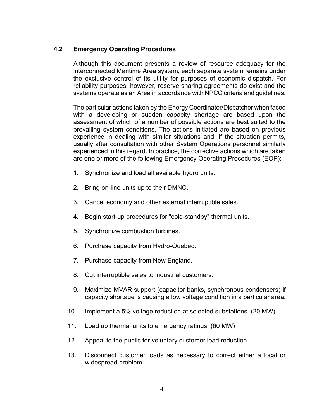#### **4.2 Emergency Operating Procedures**

Although this document presents a review of resource adequacy for the interconnected Maritime Area system, each separate system remains under the exclusive control of its utility for purposes of economic dispatch. For reliability purposes, however, reserve sharing agreements do exist and the systems operate as an Area in accordance with NPCC criteria and guidelines.

The particular actions taken by the Energy Coordinator/Dispatcher when faced with a developing or sudden capacity shortage are based upon the assessment of which of a number of possible actions are best suited to the prevailing system conditions. The actions initiated are based on previous experience in dealing with similar situations and, if the situation permits, usually after consultation with other System Operations personnel similarly experienced in this regard. In practice, the corrective actions which are taken are one or more of the following Emergency Operating Procedures (EOP):

- 1. Synchronize and load all available hydro units.
- 2. Bring on-line units up to their DMNC.
- 3. Cancel economy and other external interruptible sales.
- 4. Begin start-up procedures for "cold-standby" thermal units.
- 5. Synchronize combustion turbines.
- 6. Purchase capacity from Hydro-Quebec.
- 7. Purchase capacity from New England.
- 8. Cut interruptible sales to industrial customers.
- 9. Maximize MVAR support (capacitor banks, synchronous condensers) if capacity shortage is causing a low voltage condition in a particular area.
- 10. Implement a 5% voltage reduction at selected substations. (20 MW)
- 11. Load up thermal units to emergency ratings. (60 MW)
- 12. Appeal to the public for voluntary customer load reduction.
- 13. Disconnect customer loads as necessary to correct either a local or widespread problem.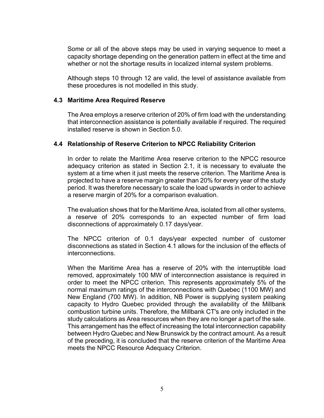Some or all of the above steps may be used in varying sequence to meet a capacity shortage depending on the generation pattern in effect at the time and whether or not the shortage results in localized internal system problems.

Although steps 10 through 12 are valid, the level of assistance available from these procedures is not modelled in this study.

#### **4.3 Maritime Area Required Reserve**

The Area employs a reserve criterion of 20% of firm load with the understanding that interconnection assistance is potentially available if required. The required installed reserve is shown in Section 5.0.

#### **4.4 Relationship of Reserve Criterion to NPCC Reliability Criterion**

In order to relate the Maritime Area reserve criterion to the NPCC resource adequacy criterion as stated in Section 2.1, it is necessary to evaluate the system at a time when it just meets the reserve criterion. The Maritime Area is projected to have a reserve margin greater than 20% for every year of the study period. It was therefore necessary to scale the load upwards in order to achieve a reserve margin of 20% for a comparison evaluation.

The evaluation shows that for the Maritime Area, isolated from all other systems, a reserve of 20% corresponds to an expected number of firm load disconnections of approximately 0.17 days/year.

The NPCC criterion of 0.1 days/year expected number of customer disconnections as stated in Section 4.1 allows for the inclusion of the effects of interconnections.

When the Maritime Area has a reserve of 20% with the interruptible load removed, approximately 100 MW of interconnection assistance is required in order to meet the NPCC criterion. This represents approximately 5% of the normal maximum ratings of the interconnections with Quebec (1100 MW) and New England (700 MW). In addition, NB Power is supplying system peaking capacity to Hydro Quebec provided through the availability of the Millbank combustion turbine units. Therefore, the Millbank CT's are only included in the study calculations as Area resources when they are no longer a part of the sale. This arrangement has the effect of increasing the total interconnection capability between Hydro Quebec and New Brunswick by the contract amount. As a result of the preceding, it is concluded that the reserve criterion of the Maritime Area meets the NPCC Resource Adequacy Criterion.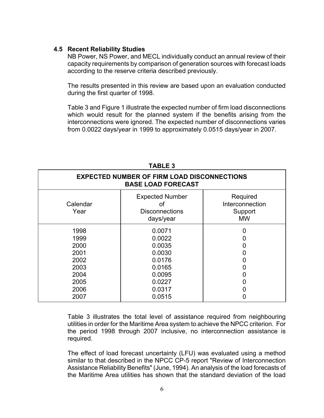#### **4.5 Recent Reliability Studies**

NB Power, NS Power, and MECL individually conduct an annual review of their capacity requirements by comparison of generation sources with forecast loads according to the reserve criteria described previously.

The results presented in this review are based upon an evaluation conducted during the first quarter of 1998.

Table 3 and Figure 1 illustrate the expected number of firm load disconnections which would result for the planned system if the benefits arising from the interconnections were ignored. The expected number of disconnections varies from 0.0022 days/year in 1999 to approximately 0.0515 days/year in 2007.

| <b>EXPECTED NUMBER OF FIRM LOAD DISCONNECTIONS</b><br><b>BASE LOAD FORECAST</b> |                                                                    |                                                     |  |  |  |  |  |
|---------------------------------------------------------------------------------|--------------------------------------------------------------------|-----------------------------------------------------|--|--|--|--|--|
| Calendar<br>Year                                                                | <b>Expected Number</b><br>Οt<br><b>Disconnections</b><br>days/year | Required<br>Interconnection<br>Support<br><b>MW</b> |  |  |  |  |  |
| 1998<br>1999<br>2000<br>2001<br>2002<br>2003                                    | 0.0071<br>0.0022<br>0.0035<br>0.0030<br>0.0176<br>0.0165           | 0                                                   |  |  |  |  |  |
| 2004<br>2005<br>2006<br>2007                                                    | 0.0095<br>0.0227<br>0.0317<br>0.0515                               |                                                     |  |  |  |  |  |

#### **TABLE 3**

Table 3 illustrates the total level of assistance required from neighbouring utilities in order for the Maritime Area system to achieve the NPCC criterion. For the period 1998 through 2007 inclusive, no interconnection assistance is required.

The effect of load forecast uncertainty (LFU) was evaluated using a method similar to that described in the NPCC CP-5 report "Review of Interconnection Assistance Reliability Benefits" (June, 1994). An analysis of the load forecasts of the Maritime Area utilities has shown that the standard deviation of the load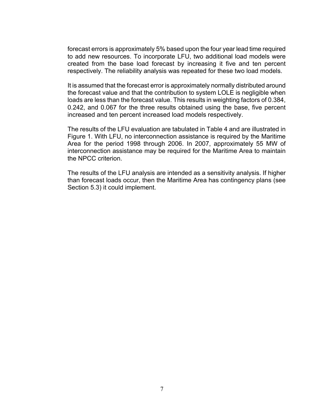forecast errors is approximately 5% based upon the four year lead time required to add new resources. To incorporate LFU, two additional load models were created from the base load forecast by increasing it five and ten percent respectively. The reliability analysis was repeated for these two load models.

It is assumed that the forecast error is approximately normally distributed around the forecast value and that the contribution to system LOLE is negligible when loads are less than the forecast value. This results in weighting factors of 0.384, 0.242, and 0.067 for the three results obtained using the base, five percent increased and ten percent increased load models respectively.

The results of the LFU evaluation are tabulated in Table 4 and are illustrated in Figure 1. With LFU, no interconnection assistance is required by the Maritime Area for the period 1998 through 2006. In 2007, approximately 55 MW of interconnection assistance may be required for the Maritime Area to maintain the NPCC criterion.

The results of the LFU analysis are intended as a sensitivity analysis. If higher than forecast loads occur, then the Maritime Area has contingency plans (see Section 5.3) it could implement.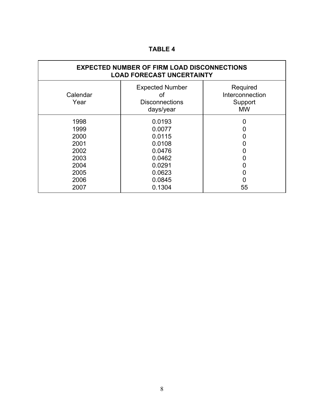## **TABLE 4**

| <b>EXPECTED NUMBER OF FIRM LOAD DISCONNECTIONS</b><br><b>LOAD FORECAST UNCERTAINTY</b> |                                                                                                  |                                                     |  |  |  |  |  |
|----------------------------------------------------------------------------------------|--------------------------------------------------------------------------------------------------|-----------------------------------------------------|--|--|--|--|--|
| Calendar<br>Year                                                                       | <b>Expected Number</b><br>οf<br><b>Disconnections</b><br>days/year                               | Required<br>Interconnection<br>Support<br><b>MW</b> |  |  |  |  |  |
| 1998<br>1999<br>2000<br>2001<br>2002<br>2003<br>2004<br>2005<br>2006<br>2007           | 0.0193<br>0.0077<br>0.0115<br>0.0108<br>0.0476<br>0.0462<br>0.0291<br>0.0623<br>0.0845<br>0.1304 | 0<br>0<br>0<br>Ü<br>0<br>0<br>0<br>55               |  |  |  |  |  |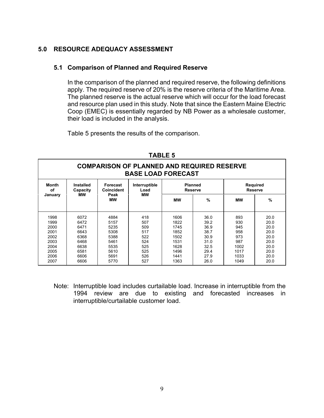#### **5.0 RESOURCE ADEQUACY ASSESSMENT**

#### **5.1 Comparison of Planned and Required Reserve**

In the comparison of the planned and required reserve, the following definitions apply. The required reserve of 20% is the reserve criteria of the Maritime Area. The planned reserve is the actual reserve which will occur for the load forecast and resource plan used in this study. Note that since the Eastern Maine Electric Coop (EMEC) is essentially regarded by NB Power as a wholesale customer, their load is included in the analysis.

Table 5 presents the results of the comparison.

| <b>COMPARISON OF PLANNED AND REQUIRED RESERVE</b><br><b>BASE LOAD FORECAST</b> |           |                   |               |           |                |                 |      |  |  |
|--------------------------------------------------------------------------------|-----------|-------------------|---------------|-----------|----------------|-----------------|------|--|--|
| Month                                                                          | Installed | <b>Forecast</b>   | Interruptible |           | <b>Planned</b> | <b>Required</b> |      |  |  |
| οf                                                                             | Capacity  | <b>Coincident</b> | Load          |           | <b>Reserve</b> | <b>Reserve</b>  |      |  |  |
| January                                                                        | МW        | Peak<br>МW        | МW            | <b>MW</b> | $\frac{9}{6}$  | МW              | %    |  |  |
| 1998                                                                           | 6072      | 4884              | 418           | 1606      | 36.0           | 893             | 20.0 |  |  |
| 1999                                                                           | 6472      | 5157              | 507           | 1822      | 39.2           | 930             | 20.0 |  |  |
| 2000                                                                           | 6471      | 5235              | 509           | 1745      | 36.9           | 945             | 20.0 |  |  |
| 2001                                                                           | 6643      | 5308              | 517           | 1852      | 38.7           | 958             | 20.0 |  |  |
| 2002                                                                           | 6368      | 5388              | 522           | 1502      | 30.9           | 973             | 20.0 |  |  |
| 2003                                                                           | 6468      | 5461              | 524           | 1531      | 31.0           | 987             | 20.0 |  |  |
| 2004                                                                           | 6638      | 5535              | 525           | 1628      | 32.5           | 1002            | 20.0 |  |  |
| 2005                                                                           | 6581      | 5610              | 525           | 1496      | 29.4           | 1017            | 20.0 |  |  |
| 2006                                                                           | 6606      | 5691              | 526           | 1441      | 27.9           | 1033            | 20.0 |  |  |
| 2007                                                                           | 6606      | 5770              | 527           | 1363      | 26.0           | 1049            | 20.0 |  |  |

**TABLE 5**

Note: Interruptible load includes curtailable load. Increase in interruptible from the 1994 review are due to existing and forecasted increases in interruptible/curtailable customer load.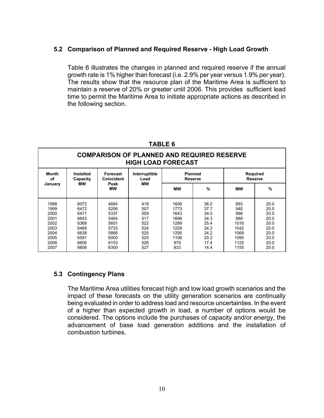#### **5.2 Comparison of Planned and Required Reserve - High Load Growth**

Table 6 illustrates the changes in planned and required reserve if the annual growth rate is 1% higher than forecast (i.e. 2.9% per year versus 1.9% per year). The results show that the resource plan of the Maritime Area is sufficient to maintain a reserve of 20% or greater until 2006. This provides sufficient lead time to permit the Maritime Area to initiate appropriate actions as described in the following section.

| <b>COMPARISON OF PLANNED AND REQUIRED RESERVE</b><br><b>HIGH LOAD FORECAST</b> |                                                                      |                                                                              |                                                                    |                                                                            |                                                                              |                                                                          |                                                                              |  |  |
|--------------------------------------------------------------------------------|----------------------------------------------------------------------|------------------------------------------------------------------------------|--------------------------------------------------------------------|----------------------------------------------------------------------------|------------------------------------------------------------------------------|--------------------------------------------------------------------------|------------------------------------------------------------------------------|--|--|
| Month<br>οf                                                                    | Installed<br>Capacity                                                | Forecast<br><b>Coincident</b>                                                | Interruptible<br>Load                                              |                                                                            | <b>Planned</b><br><b>Reserve</b>                                             | <b>Required</b><br><b>Reserve</b>                                        |                                                                              |  |  |
| January                                                                        | МW                                                                   | Peak<br><b>MW</b>                                                            | мw                                                                 | <b>MW</b>                                                                  | %                                                                            | <b>MW</b>                                                                | %                                                                            |  |  |
| 1998<br>1999<br>2000<br>2001<br>2002<br>2003<br>2004<br>2005<br>2006           | 6072<br>6472<br>6471<br>6643<br>6368<br>6468<br>6638<br>6581<br>6606 | 4884<br>5206<br>5337<br>5464<br>5601<br>5733<br>5868<br>6000<br>6153<br>6300 | 418<br>507<br>509<br>517<br>522<br>524<br>525<br>525<br>526<br>527 | 1606<br>1773<br>1643<br>1696<br>1289<br>1259<br>1295<br>1106<br>979<br>833 | 36.0<br>37.7<br>34.0<br>34.3<br>25.4<br>24.2<br>24.2<br>20.2<br>17.4<br>14.4 | 893<br>940<br>966<br>989<br>1016<br>1042<br>1069<br>1095<br>1125<br>1155 | 20.0<br>20.0<br>20.0<br>20.0<br>20.0<br>20.0<br>20.0<br>20.0<br>20.0<br>20.0 |  |  |

#### **TABLE 6**

#### **5.3 Contingency Plans**

The Maritime Area utilities forecast high and low load growth scenarios and the impact of these forecasts on the utility generation scenarios are continually being evaluated in order to address load and resource uncertainties. In the event of a higher than expected growth in load, a number of options would be considered. The options include the purchases of capacity and/or energy, the advancement of base load generation additions and the installation of combustion turbines.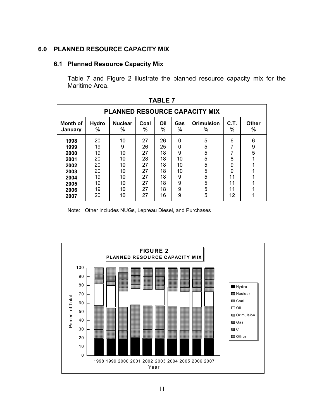#### **6.0 PLANNED RESOURCE CAPACITY MIX**

#### **6.1 Planned Resource Capacity Mix**

Table 7 and Figure 2 illustrate the planned resource capacity mix for the Maritime Area.

| <b>PLANNED RESOURCE CAPACITY MIX</b>                                 |                                                          |                                                         |                                                          |                                                          |                                                          |                                                |                                               |                            |  |  |
|----------------------------------------------------------------------|----------------------------------------------------------|---------------------------------------------------------|----------------------------------------------------------|----------------------------------------------------------|----------------------------------------------------------|------------------------------------------------|-----------------------------------------------|----------------------------|--|--|
| Month of<br>January                                                  | <b>Hydro</b><br>%                                        | <b>Nuclear</b><br>%                                     | Coal<br>%                                                | Oil<br>%                                                 | Gas<br>%                                                 | <b>Orimulsion</b><br>%                         | C.T.<br>%                                     | Other<br>%                 |  |  |
| 1998<br>1999<br>2000<br>2001<br>2002<br>2003<br>2004<br>2005<br>2006 | 20<br>19<br>19<br>20<br>20<br>20<br>19<br>19<br>19<br>20 | 10<br>9<br>10<br>10<br>10<br>10<br>10<br>10<br>10<br>10 | 27<br>26<br>27<br>28<br>27<br>27<br>27<br>27<br>27<br>27 | 26<br>25<br>18<br>18<br>18<br>18<br>18<br>18<br>18<br>16 | $\Omega$<br>0<br>9<br>10<br>10<br>10<br>9<br>9<br>9<br>9 | 5<br>5<br>5<br>5<br>5<br>5<br>5<br>5<br>5<br>5 | 6<br>7<br>8<br>9<br>9<br>11<br>11<br>11<br>12 | 6<br>$\boldsymbol{9}$<br>5 |  |  |

**TABLE 7**

Note: Other includes NUGs, Lepreau Diesel, and Purchases

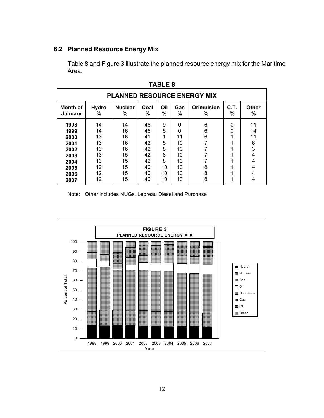#### **6.2 Planned Resource Energy Mix**

Table 8 and Figure 3 illustrate the planned resource energy mix for the Maritime Area.

| <b>PLANNED RESOURCE ENERGY MIX</b>                                   |                                                    |                                                    |                                                    |                                             |                                                  |                        |                       |                                              |  |  |
|----------------------------------------------------------------------|----------------------------------------------------|----------------------------------------------------|----------------------------------------------------|---------------------------------------------|--------------------------------------------------|------------------------|-----------------------|----------------------------------------------|--|--|
| Month of<br>January                                                  | <b>Hydro</b><br>%                                  | <b>Nuclear</b><br>%                                | Coal<br>%                                          | Oil<br>$\%$                                 | <b>Gas</b><br>$\%$                               | <b>Orimulsion</b><br>℅ | C.T.<br>$\%$          | Other<br>%                                   |  |  |
| 1998<br>1999<br>2000<br>2001<br>2002<br>2003<br>2004<br>2005<br>2006 | 14<br>14<br>13<br>13<br>13<br>13<br>13<br>12<br>12 | 14<br>16<br>16<br>16<br>16<br>15<br>15<br>15<br>15 | 46<br>45<br>41<br>42<br>42<br>42<br>42<br>40<br>40 | 9<br>5<br>1<br>5<br>8<br>8<br>8<br>10<br>10 | 0<br>0<br>11<br>10<br>10<br>10<br>10<br>10<br>10 | 6<br>6<br>6<br>8<br>8  | 0<br>0<br>◢<br>◢<br>◢ | 11<br>14<br>11<br>6<br>3<br>4<br>4<br>4<br>4 |  |  |
| 2007                                                                 | 12                                                 | 15                                                 | 40                                                 | 10                                          | 10                                               | 8                      | 4                     | 4                                            |  |  |

**TABLE 8**

Note: Other includes NUGs, Lepreau Diesel and Purchase

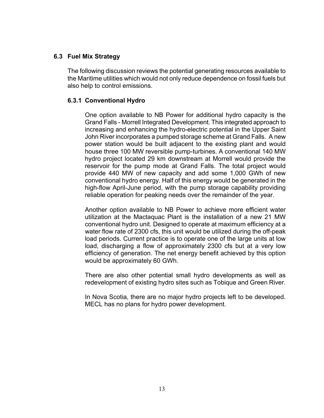#### **6.3 Fuel Mix Strategy**

The following discussion reviews the potential generating resources available to the Maritime utilities which would not only reduce dependence on fossil fuels but also help to control emissions.

#### **6.3.1 Conventional Hydro**

One option available to NB Power for additional hydro capacity is the Grand Falls - Morrell Integrated Development. This integrated approach to increasing and enhancing the hydro-electric potential in the Upper Saint John River incorporates a pumped storage scheme at Grand Falls. A new power station would be built adjacent to the existing plant and would house three 100 MW reversible pump-turbines. A conventional 140 MW hydro project located 29 km downstream at Morrell would provide the reservoir for the pump mode at Grand Falls. The total project would provide 440 MW of new capacity and add some 1,000 GWh of new conventional hydro energy. Half of this energy would be generated in the high-flow April-June period, with the pump storage capability providing reliable operation for peaking needs over the remainder of the year.

Another option available to NB Power to achieve more efficient water utilization at the Mactaquac Plant is the installation of a new 21 MW conventional hydro unit. Designed to operate at maximum efficiency at a water flow rate of 2300 cfs, this unit would be utilized during the off-peak load periods. Current practice is to operate one of the large units at low load, discharging a flow of approximately 2300 cfs but at a very low efficiency of generation. The net energy benefit achieved by this option would be approximately 60 GWh.

There are also other potential small hydro developments as well as redevelopment of existing hydro sites such as Tobique and Green River.

In Nova Scotia, there are no major hydro projects left to be developed. MECL has no plans for hydro power development.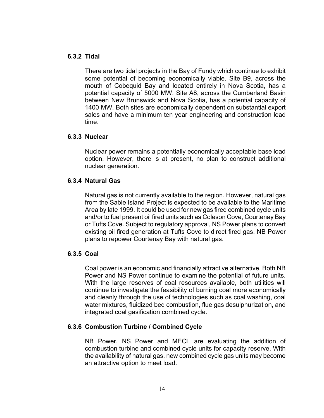#### **6.3.2 Tidal**

There are two tidal projects in the Bay of Fundy which continue to exhibit some potential of becoming economically viable. Site B9, across the mouth of Cobequid Bay and located entirely in Nova Scotia, has a potential capacity of 5000 MW. Site A8, across the Cumberland Basin between New Brunswick and Nova Scotia, has a potential capacity of 1400 MW. Both sites are economically dependent on substantial export sales and have a minimum ten year engineering and construction lead time.

#### **6.3.3 Nuclear**

Nuclear power remains a potentially economically acceptable base load option. However, there is at present, no plan to construct additional nuclear generation.

#### **6.3.4 Natural Gas**

Natural gas is not currently available to the region. However, natural gas from the Sable Island Project is expected to be available to the Maritime Area by late 1999. It could be used for new gas fired combined cycle units and/or to fuel present oil fired units such as Coleson Cove, Courtenay Bay or Tufts Cove. Subject to regulatory approval, NS Power plans to convert existing oil fired generation at Tufts Cove to direct fired gas. NB Power plans to repower Courtenay Bay with natural gas.

#### **6.3.5 Coal**

Coal power is an economic and financially attractive alternative. Both NB Power and NS Power continue to examine the potential of future units. With the large reserves of coal resources available, both utilities will continue to investigate the feasibility of burning coal more economically and cleanly through the use of technologies such as coal washing, coal water mixtures, fluidized bed combustion, flue gas desulphurization, and integrated coal gasification combined cycle.

#### **6.3.6 Combustion Turbine / Combined Cycle**

NB Power, NS Power and MECL are evaluating the addition of combustion turbine and combined cycle units for capacity reserve. With the availability of natural gas, new combined cycle gas units may become an attractive option to meet load.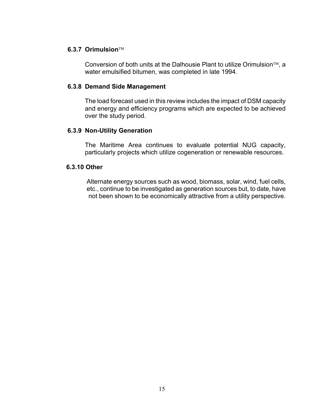#### **6.3.7 Orimulsion**

Conversion of both units at the Dalhousie Plant to utilize Orimulsion<sup> $TM$ </sup>, a water emulsified bitumen, was completed in late 1994.

#### **6.3.8 Demand Side Management**

The load forecast used in this review includes the impact of DSM capacity and energy and efficiency programs which are expected to be achieved over the study period.

#### **6.3.9 Non-Utility Generation**

The Maritime Area continues to evaluate potential NUG capacity, particularly projects which utilize cogeneration or renewable resources.

#### **6.3.10 Other**

 Alternate energy sources such as wood, biomass, solar, wind, fuel cells, etc., continue to be investigated as generation sources but, to date, have not been shown to be economically attractive from a utility perspective.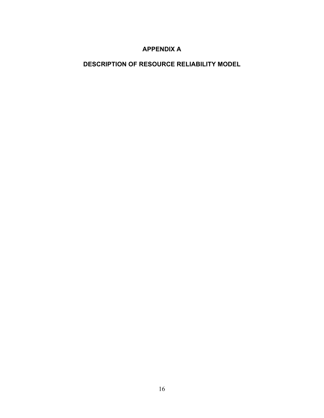### **APPENDIX A**

## **DESCRIPTION OF RESOURCE RELIABILITY MODEL**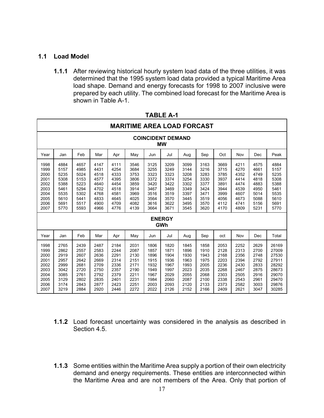#### **1.1 Load Model**

**1.1.1** After reviewing historical hourly system load data of the three utilities, it was determined that the 1995 system load data provided a typical Maritime Area load shape. Demand and energy forecasts for 1998 to 2007 inclusive were prepared by each utility. The combined load forecast for the Maritime Area is shown in Table A-1.

| <b>MARITIME AREA LOAD FORCAST</b>                                            |                                                                              |                                                                              |                                                                              |                                                                              |                                                                              |                                                                              |                                                                                                      |                                                                              |                                                                              |                                                                              |                                                                              |                                                                              |                                                                                        |
|------------------------------------------------------------------------------|------------------------------------------------------------------------------|------------------------------------------------------------------------------|------------------------------------------------------------------------------|------------------------------------------------------------------------------|------------------------------------------------------------------------------|------------------------------------------------------------------------------|------------------------------------------------------------------------------------------------------|------------------------------------------------------------------------------|------------------------------------------------------------------------------|------------------------------------------------------------------------------|------------------------------------------------------------------------------|------------------------------------------------------------------------------|----------------------------------------------------------------------------------------|
| <b>COINCIDENT DEMAND</b><br><b>MW</b>                                        |                                                                              |                                                                              |                                                                              |                                                                              |                                                                              |                                                                              |                                                                                                      |                                                                              |                                                                              |                                                                              |                                                                              |                                                                              |                                                                                        |
| Year                                                                         | Jan                                                                          | Feb                                                                          | Mar                                                                          | Apr                                                                          | May                                                                          | Jun                                                                          | Jul                                                                                                  | Aug                                                                          | Sep                                                                          | Oct                                                                          | Nov                                                                          | Dec                                                                          | Peak                                                                                   |
| 1998<br>1999<br>2000<br>2001<br>2002<br>2003<br>2004<br>2005<br>2006<br>2007 | 4884<br>5157<br>5235<br>5308<br>5388<br>5461<br>5535<br>5610<br>5691<br>5770 | 4657<br>4985<br>5024<br>5153<br>5223<br>5294<br>5302<br>5441<br>5517<br>5593 | 4147<br>4431<br>4518<br>4577<br>4640<br>4702<br>4768<br>4833<br>4900<br>4966 | 4111<br>4254<br>4333<br>4395<br>4454<br>4518<br>4581<br>4645<br>4709<br>4776 | 3546<br>3684<br>3753<br>3806<br>3859<br>3914<br>3969<br>4025<br>4082<br>4139 | 3125<br>3255<br>3323<br>3372<br>3420<br>3467<br>3516<br>3564<br>3616<br>3664 | 3209<br>3249<br>3323<br>3374<br>3422<br>3469<br>3519<br>3570<br>3622<br>3671<br><b>ENERGY</b><br>GWh | 3099<br>3144<br>3208<br>3254<br>3302<br>3349<br>3397<br>3445<br>3495<br>3545 | 3163<br>3216<br>3283<br>3330<br>3377<br>3424<br>3471<br>3519<br>3570<br>3620 | 3669<br>3715<br>3785<br>3937<br>3891<br>3944<br>3999<br>4056<br>4112<br>4170 | 4211<br>4270<br>4352<br>4414<br>4474<br>4539<br>4607<br>4673<br>4741<br>4809 | 4575<br>4661<br>4749<br>4818<br>4883<br>4950<br>5014<br>5088<br>5156<br>5231 | 4884<br>5157<br>5235<br>5308<br>5388<br>5461<br>5535<br>5610<br>5691<br>5770           |
| Year                                                                         | Jan                                                                          | Feb                                                                          | Mar                                                                          | Apr                                                                          | May                                                                          | Jun                                                                          | Jul                                                                                                  | Aug                                                                          | Sep                                                                          | oct                                                                          | Nov                                                                          | Dec                                                                          | Total                                                                                  |
| 1998<br>1999<br>2000<br>2001<br>2002<br>2003<br>2004<br>2005<br>2006<br>2007 | 2765<br>2862<br>2919<br>2957<br>2999<br>3042<br>3085<br>3129<br>3174<br>3219 | 2439<br>2557<br>2607<br>2642<br>2681<br>2720<br>2761<br>2802<br>2843<br>2884 | 2487<br>2583<br>2636<br>2669<br>2709<br>2750<br>2792<br>2835<br>2877<br>2920 | 2184<br>2244<br>2291<br>2314<br>2336<br>2357<br>2379<br>2401<br>2423<br>2446 | 2031<br>2087<br>2130<br>2151<br>2171<br>2190<br>2211<br>2231<br>2251<br>2272 | 1806<br>1857<br>1896<br>1915<br>1932<br>1949<br>1967<br>1984<br>2003<br>2022 | 1820<br>1871<br>1904<br>1936<br>1967<br>1997<br>2029<br>2060<br>2093<br>2126                         | 1845<br>1896<br>1930<br>1963<br>1993<br>2023<br>2055<br>2087<br>2120<br>2152 | 1858<br>1910<br>1943<br>1975<br>2005<br>2035<br>2068<br>2100<br>2133<br>2166 | 2053<br>2128<br>2168<br>2203<br>2236<br>2268<br>2303<br>2338<br>2373<br>2409 | 2252<br>2313<br>2356<br>2394<br>2430<br>2467<br>2505<br>2543<br>2582<br>2621 | 2629<br>2700<br>2748<br>2792<br>2833<br>2875<br>2916<br>2961<br>3003<br>3047 | 26169<br>27009<br>27530<br>27911<br>28292<br>28673<br>29070<br>29470<br>29876<br>30285 |

**TABLE A-1**

- **1.1.2** Load forecast uncertainty was considered in the analysis as described in Section 4.5.
- **1.1.3** Some entities within the Maritime Area supply a portion of their own electricity demand and energy requirements. These entities are interconnected within the Maritime Area and are not members of the Area. Only that portion of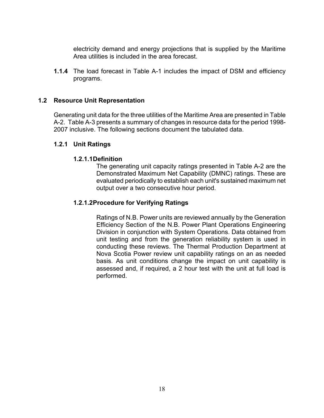electricity demand and energy projections that is supplied by the Maritime Area utilities is included in the area forecast.

**1.1.4** The load forecast in Table A-1 includes the impact of DSM and efficiency programs.

#### **1.2 Resource Unit Representation**

Generating unit data for the three utilities of the Maritime Area are presented in Table A-2. Table A-3 presents a summary of changes in resource data for the period 1998- 2007 inclusive. The following sections document the tabulated data.

#### **1.2.1 Unit Ratings**

#### **1.2.1.1Definition**

The generating unit capacity ratings presented in Table A-2 are the Demonstrated Maximum Net Capability (DMNC) ratings. These are evaluated periodically to establish each unit's sustained maximum net output over a two consecutive hour period.

#### **1.2.1.2Procedure for Verifying Ratings**

Ratings of N.B. Power units are reviewed annually by the Generation Efficiency Section of the N.B. Power Plant Operations Engineering Division in conjunction with System Operations. Data obtained from unit testing and from the generation reliability system is used in conducting these reviews. The Thermal Production Department at Nova Scotia Power review unit capability ratings on an as needed basis. As unit conditions change the impact on unit capability is assessed and, if required, a 2 hour test with the unit at full load is performed.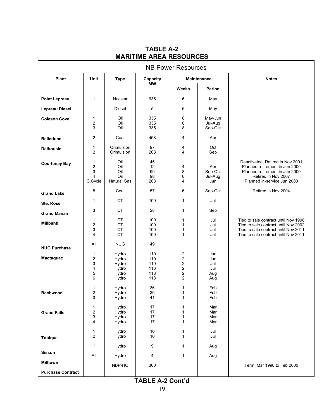| <b>NB Power Resources</b> |                                                   |                                                    |                                        |                                                               |                                        |                                                                                                                                                              |
|---------------------------|---------------------------------------------------|----------------------------------------------------|----------------------------------------|---------------------------------------------------------------|----------------------------------------|--------------------------------------------------------------------------------------------------------------------------------------------------------------|
| Plant                     | Unit                                              | <b>Type</b>                                        | Capacity<br><b>MW</b>                  | <b>Maintenance</b>                                            |                                        | <b>Notes</b>                                                                                                                                                 |
|                           |                                                   |                                                    |                                        | <b>Weeks</b>                                                  | Period                                 |                                                                                                                                                              |
| <b>Point Lepreau</b>      | $\mathbf{1}$                                      | <b>Nuclear</b>                                     | 635                                    | 6                                                             | May                                    |                                                                                                                                                              |
| <b>Lepreau Diesel</b>     |                                                   | Diesel                                             | 5                                      | 6                                                             | May                                    |                                                                                                                                                              |
| <b>Coleson Cove</b>       | 1<br>$\overline{\mathbf{c}}$<br>3                 | Oil<br>Oil<br>Oil                                  | 335<br>335<br>335                      | 8<br>8<br>8                                                   | May-Jun<br>Jul-Aug<br>Sep-Oct          |                                                                                                                                                              |
| <b>Belledune</b>          | $\overline{c}$                                    | Coal                                               | 458                                    | 4                                                             | Apr                                    |                                                                                                                                                              |
| <b>Dalhousie</b>          | 1<br>2                                            | Orimulsion<br>Orimulsion                           | 97<br>203                              | 4<br>4                                                        | Oct<br>Sep                             |                                                                                                                                                              |
| <b>Courtenay Bay</b>      | 1<br>$\overline{\mathbf{c}}$<br>3<br>4<br>C.Cycle | Oil<br>Oil<br>Oil<br>Oil<br><b>Natural Gas</b>     | 45<br>12<br>99<br>98<br>283            | 4<br>8<br>8<br>4                                              | Apr<br>Sep-Oct<br>Jul-Aug<br>Jun       | Deactivated, Retired in Nov 2001<br>Planned retirement in Jun 2000<br>Planned retirement in Jun 2000<br>Retired in Nov 2007<br>Planned in-service Jun 2000   |
| <b>Grand Lake</b>         | 8                                                 | Coal                                               | 57                                     | 6                                                             | Sep-Oct                                | Retired in Nov 2004                                                                                                                                          |
| Ste. Rose                 | 1                                                 | <b>CT</b>                                          | 100                                    | 1                                                             | Jul                                    |                                                                                                                                                              |
| <b>Grand Manan</b>        | 3                                                 | <b>CT</b>                                          | 28                                     | 1                                                             | Sep                                    |                                                                                                                                                              |
| <b>Millbank</b>           | 1<br>2<br>3<br>4                                  | CT<br><b>CT</b><br><b>CT</b><br><b>CT</b>          | 100<br>100<br>100<br>100               | 1<br>1<br>1<br>1                                              | Jul<br>Jul<br>Jul<br>Jul               | Tied to sale contract until Nov 1998<br>Tied to sale contract until Nov 2002<br>Tied to sale contract until Nov 2011<br>Tied to sale contract until Nov 2011 |
| <b>NUG Purchase</b>       | All                                               | <b>NUG</b>                                         | 49                                     |                                                               |                                        |                                                                                                                                                              |
| Mactaquac                 | 1<br>2<br>3<br>4<br>5<br>6                        | Hydro<br>Hydro<br>Hydro<br>Hydro<br>Hydro<br>Hydro | 110<br>110<br>110<br>116<br>113<br>113 | 2<br>$\overline{c}$<br>2<br>2<br>$\overline{\mathbf{c}}$<br>2 | Jun<br>Jun<br>Jul<br>Jul<br>Aug<br>Aug |                                                                                                                                                              |
| <b>Bechwood</b>           | 1<br>$\overline{\mathbf{c}}$<br>3                 | Hydro<br>Hydro<br>Hydro                            | 36<br>36<br>41                         | 1<br>1<br>1                                                   | Feb<br>Feb<br>Feb                      |                                                                                                                                                              |
| <b>Grand Falls</b>        | 1<br>$\overline{\mathbf{c}}$<br>3<br>4            | Hydro<br>Hydro<br>Hydro<br>Hydro                   | 17<br>17<br>17<br>17                   | 1<br>1<br>1<br>1                                              | Mar<br>Mar<br>Mar<br>Mar               |                                                                                                                                                              |
| <b>Tobique</b>            | 1<br>$\overline{2}$                               | Hydro<br>Hydro                                     | 10<br>10                               | 1<br>1                                                        | Jul<br>Jul                             |                                                                                                                                                              |
| <b>Sisson</b>             | $\mathbf{1}$<br>All                               | Hydro                                              | 9                                      | 1                                                             | Aug                                    |                                                                                                                                                              |
| <b>Milltown</b>           |                                                   | Hydro                                              | 4<br>300                               | $\mathbf{1}$                                                  | Aug                                    | Term: Mar 1998 to Feb 2000                                                                                                                                   |
| <b>Purchase Contract</b>  |                                                   | NBP-HQ                                             |                                        |                                                               |                                        |                                                                                                                                                              |
|                           |                                                   |                                                    | TADLE A O CAMIN                        |                                                               |                                        |                                                                                                                                                              |

### **TABLE A-2 MARITIME AREA RESOURCES**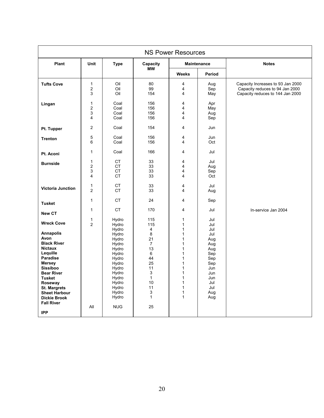| <b>NS Power Resources</b>                                                                                                                                                                                                                                                                                          |                                                              |                                                                                                                                                                     |                                                                                                                                                    |                                                                                                                                                                           |                                                                                                                     |                                                                                                          |  |
|--------------------------------------------------------------------------------------------------------------------------------------------------------------------------------------------------------------------------------------------------------------------------------------------------------------------|--------------------------------------------------------------|---------------------------------------------------------------------------------------------------------------------------------------------------------------------|----------------------------------------------------------------------------------------------------------------------------------------------------|---------------------------------------------------------------------------------------------------------------------------------------------------------------------------|---------------------------------------------------------------------------------------------------------------------|----------------------------------------------------------------------------------------------------------|--|
| Plant                                                                                                                                                                                                                                                                                                              | Unit                                                         | <b>Type</b>                                                                                                                                                         | Capacity                                                                                                                                           |                                                                                                                                                                           | <b>Maintenance</b>                                                                                                  | <b>Notes</b>                                                                                             |  |
|                                                                                                                                                                                                                                                                                                                    |                                                              |                                                                                                                                                                     | <b>MW</b>                                                                                                                                          | <b>Weeks</b>                                                                                                                                                              | Period                                                                                                              |                                                                                                          |  |
| <b>Tufts Cove</b>                                                                                                                                                                                                                                                                                                  | $\mathbf{1}$<br>$\overline{\mathbf{c}}$<br>3                 | Oil<br>Oil<br>Oil                                                                                                                                                   | 80<br>99<br>154                                                                                                                                    | 4<br>4<br>4                                                                                                                                                               | Aug<br>Sep<br>May                                                                                                   | Capacity Increases to 93 Jan 2000<br>Capacity reduces to 94 Jan 2000<br>Capacity reduces to 144 Jan 2000 |  |
| Lingan                                                                                                                                                                                                                                                                                                             | 1<br>$\overline{\mathbf{c}}$<br>3<br>$\overline{\mathbf{4}}$ | Coal<br>Coal<br>Coal<br>Coal                                                                                                                                        | 156<br>156<br>156<br>156                                                                                                                           | $\overline{4}$<br>4<br>4<br>4                                                                                                                                             | Apr<br>May<br>Aug<br>Sep                                                                                            |                                                                                                          |  |
| Pt. Tupper                                                                                                                                                                                                                                                                                                         | $\overline{c}$                                               | Coal                                                                                                                                                                | 154                                                                                                                                                | 4                                                                                                                                                                         | Jun                                                                                                                 |                                                                                                          |  |
| <b>Trenton</b>                                                                                                                                                                                                                                                                                                     | 5<br>6                                                       | Coal<br>Coal                                                                                                                                                        | 156<br>156                                                                                                                                         | 4<br>4                                                                                                                                                                    | Jun<br>Oct                                                                                                          |                                                                                                          |  |
| Pt. Aconi                                                                                                                                                                                                                                                                                                          | $\mathbf{1}$                                                 | Coal                                                                                                                                                                | 166                                                                                                                                                | $\overline{4}$                                                                                                                                                            | Jul                                                                                                                 |                                                                                                          |  |
| <b>Burnside</b>                                                                                                                                                                                                                                                                                                    | 1<br>$\overline{\mathbf{c}}$<br>3<br>4                       | <b>CT</b><br><b>CT</b><br><b>CT</b><br>СT                                                                                                                           | 33<br>33<br>33<br>33                                                                                                                               | 4<br>4<br>4<br>4                                                                                                                                                          | Jul<br>Aug<br>Sep<br>Oct                                                                                            |                                                                                                          |  |
| <b>Victoria Junction</b>                                                                                                                                                                                                                                                                                           | $\mathbf{1}$<br>$\overline{2}$                               | <b>CT</b><br><b>CT</b>                                                                                                                                              | 33<br>33                                                                                                                                           | 4<br>4                                                                                                                                                                    | Jul<br>Aug                                                                                                          |                                                                                                          |  |
| <b>Tusket</b>                                                                                                                                                                                                                                                                                                      | $\mathbf{1}$                                                 | <b>CT</b>                                                                                                                                                           | 24                                                                                                                                                 | 4                                                                                                                                                                         | Sep                                                                                                                 |                                                                                                          |  |
| <b>New CT</b>                                                                                                                                                                                                                                                                                                      | 1                                                            | <b>CT</b>                                                                                                                                                           | 170                                                                                                                                                | $\overline{4}$                                                                                                                                                            | Jul                                                                                                                 | In-service Jan 2004                                                                                      |  |
| <b>Wreck Cove</b><br><b>Annapolis</b><br>Avon<br><b>Black River</b><br><b>Nictaux</b><br>Lequille<br><b>Paradise</b><br><b>Mersey</b><br><b>Sissiboo</b><br><b>Bear River</b><br><b>Tusket</b><br>Roseway<br><b>St. Margrets</b><br><b>Sheet Harbour</b><br><b>Dickie Brook</b><br><b>Fall River</b><br><b>IPP</b> | 1<br>$\overline{2}$<br>All                                   | Hydro<br>Hydro<br>Hydro<br>Hydro<br>Hydro<br>Hydro<br>Hydro<br>Hydro<br>Hydro<br>Hydro<br>Hydro<br>Hydro<br>Hydro<br>Hydro<br>Hydro<br>Hydro<br>Hydro<br><b>NUG</b> | 115<br>115<br>$\overline{4}$<br>8<br>21<br>$\overline{7}$<br>13<br>6<br>44<br>25<br>11<br>3<br>$\mathbf{1}$<br>10<br>11<br>3<br>$\mathbf{1}$<br>25 | 1<br>1<br>$\mathbf{1}$<br>$\mathbf{1}$<br>1<br>1<br>$\mathbf{1}$<br>1<br>$\mathbf{1}$<br>$\mathbf{1}$<br>1<br>$\mathbf{1}$<br>$\mathbf{1}$<br>1<br>1<br>$\mathbf{1}$<br>1 | Jul<br>Jul<br>Jul<br>Jul<br>Aug<br>Aug<br>Aug<br>Sep<br>Sep<br>Sep<br>Jun<br>Jun<br>Jun<br>Jul<br>Jul<br>Aug<br>Aug |                                                                                                          |  |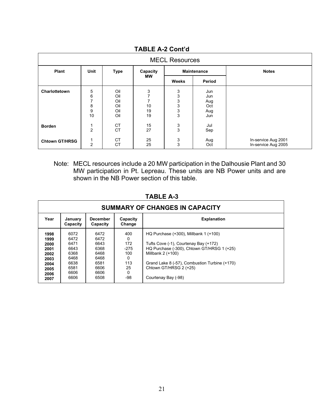| <b>MECL Resources</b> |                                                               |                                        |                                       |                                          |                                        |                                            |  |  |
|-----------------------|---------------------------------------------------------------|----------------------------------------|---------------------------------------|------------------------------------------|----------------------------------------|--------------------------------------------|--|--|
| Plant                 | <b>Unit</b>                                                   | <b>Type</b>                            | Capacity                              |                                          | <b>Maintenance</b>                     | <b>Notes</b>                               |  |  |
|                       |                                                               |                                        | <b>MW</b>                             | Weeks                                    | Period                                 |                                            |  |  |
| Charlottetown         | 5<br>$\,6\,$<br>$\overline{7}$<br>8<br>$\boldsymbol{9}$<br>10 | Oil<br>Oil<br>Oil<br>Oil<br>Oil<br>Oil | 3<br>$\overline{7}$<br>10<br>19<br>19 | 3<br>3<br>$\frac{3}{3}$<br>$\frac{3}{3}$ | Jun<br>Jun<br>Aug<br>Oct<br>Aug<br>Jun |                                            |  |  |
| <b>Borden</b>         | 1<br>$\overline{2}$                                           | <b>CT</b><br><b>CT</b>                 | 15<br>27                              | $\frac{3}{3}$                            | Jul<br>Sep                             |                                            |  |  |
| <b>Chtown GT/HRSG</b> | $\mathbf 1$<br>$\overline{2}$                                 | CT<br>CT                               | 25<br>25                              | 3<br>3                                   | Aug<br>Oct                             | In-service Aug 2001<br>In-service Aug 2005 |  |  |

**TABLE A-2 Cont'd**

Note: MECL resources include a 20 MW participation in the Dalhousie Plant and 30 MW participation in Pt. Lepreau. These units are NB Power units and are shown in the NB Power section of this table.

| SUMMARY OF CHANGES IN CAPACITY                                               |                                                                              |                                                                              |                                                                       |                                                                                                                                                                                                                                                     |  |  |  |  |
|------------------------------------------------------------------------------|------------------------------------------------------------------------------|------------------------------------------------------------------------------|-----------------------------------------------------------------------|-----------------------------------------------------------------------------------------------------------------------------------------------------------------------------------------------------------------------------------------------------|--|--|--|--|
| Year                                                                         | January<br>Capacity                                                          | <b>December</b><br>Capacity                                                  | Capacity<br>Change                                                    | <b>Explanation</b>                                                                                                                                                                                                                                  |  |  |  |  |
| 1998<br>1999<br>2000<br>2001<br>2002<br>2003<br>2004<br>2005<br>2006<br>2007 | 6072<br>6472<br>6471<br>6643<br>6368<br>6468<br>6638<br>6581<br>6606<br>6606 | 6472<br>6472<br>6643<br>6368<br>6468<br>6468<br>6581<br>6606<br>6606<br>6508 | 400<br>0<br>172<br>$-275$<br>100<br>0<br>113<br>25<br>$\Omega$<br>-98 | HQ Purchase (+300), Millbank 1 (+100)<br>Tufts Cove (-1), Courtenay Bay (+172)<br>HQ Purchase (-300), Chtown GT/HRSG 1 (+25)<br>Millbank 2 (+100)<br>Grand Lake 8 (-57), Combustion Turbine (+170)<br>Chtown GT/HRSG 2 (+25)<br>Courtenay Bay (-98) |  |  |  |  |

**TABLE A-3**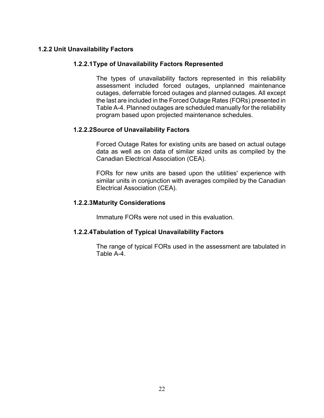#### **1.2.2 Unit Unavailability Factors**

#### **1.2.2.1Type of Unavailability Factors Represented**

The types of unavailability factors represented in this reliability assessment included forced outages, unplanned maintenance outages, deferrable forced outages and planned outages. All except the last are included in the Forced Outage Rates (FORs) presented in Table A-4. Planned outages are scheduled manually for the reliability program based upon projected maintenance schedules.

#### **1.2.2.2Source of Unavailability Factors**

Forced Outage Rates for existing units are based on actual outage data as well as on data of similar sized units as compiled by the Canadian Electrical Association (CEA).

FORs for new units are based upon the utilities' experience with similar units in conjunction with averages compiled by the Canadian Electrical Association (CEA).

#### **1.2.2.3Maturity Considerations**

Immature FORs were not used in this evaluation.

#### **1.2.2.4Tabulation of Typical Unavailability Factors**

The range of typical FORs used in the assessment are tabulated in Table A-4.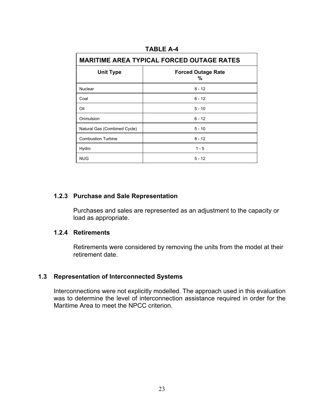| <b>MARITIME AREA TYPICAL FORCED OUTAGE RATES</b> |                                |  |  |  |  |
|--------------------------------------------------|--------------------------------|--|--|--|--|
| <b>Unit Type</b>                                 | <b>Forced Outage Rate</b><br>% |  |  |  |  |
| Nuclear                                          | $8 - 12$                       |  |  |  |  |
| Coal                                             | $6 - 12$                       |  |  |  |  |
| Oil                                              | $5 - 10$                       |  |  |  |  |
| Orimulsion                                       | $6 - 12$                       |  |  |  |  |
| Natural Gas (Combined Cycle)                     | $5 - 10$                       |  |  |  |  |
| <b>Combustion Turbine</b>                        | $8 - 12$                       |  |  |  |  |
| Hydro                                            | $1 - 5$                        |  |  |  |  |
| <b>NUG</b>                                       | $5 - 12$                       |  |  |  |  |

#### **TABLE A-4**

#### **1.2.3 Purchase and Sale Representation**

Purchases and sales are represented as an adjustment to the capacity or load as appropriate.

#### **1.2.4 Retirements**

Retirements were considered by removing the units from the model at their retirement date.

#### **1.3 Representation of Interconnected Systems**

Interconnections were not explicitly modelled. The approach used in this evaluation was to determine the level of interconnection assistance required in order for the Maritime Area to meet the NPCC criterion.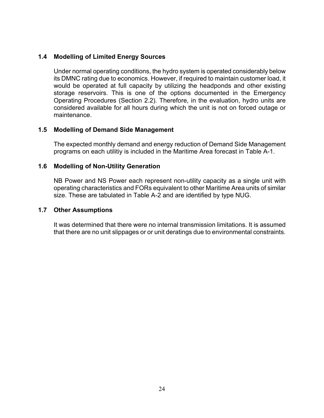#### **1.4 Modelling of Limited Energy Sources**

Under normal operating conditions, the hydro system is operated considerably below its DMNC rating due to economics. However, if required to maintain customer load, it would be operated at full capacity by utilizing the headponds and other existing storage reservoirs. This is one of the options documented in the Emergency Operating Procedures (Section 2.2). Therefore, in the evaluation, hydro units are considered available for all hours during which the unit is not on forced outage or maintenance.

#### **1.5 Modelling of Demand Side Management**

The expected monthly demand and energy reduction of Demand Side Management programs on each utilitiy is included in the Maritime Area forecast in Table A-1.

#### **1.6 Modelling of Non-Utility Generation**

NB Power and NS Power each represent non-utility capacity as a single unit with operating characteristics and FORs equivalent to other Maritime Area units of similar size. These are tabulated in Table A-2 and are identified by type NUG.

#### **1.7 Other Assumptions**

It was determined that there were no internal transmission limitations. It is assumed that there are no unit slippages or or unit deratings due to environmental constraints.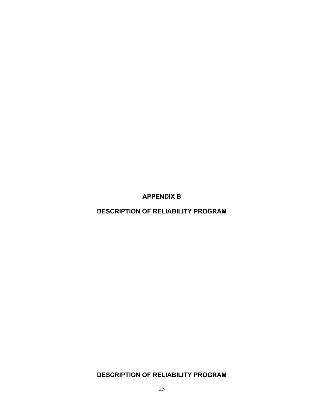**APPENDIX B** 

**DESCRIPTION OF RELIABILITY PROGRAM** 

**DESCRIPTION OF RELIABILITY PROGRAM**